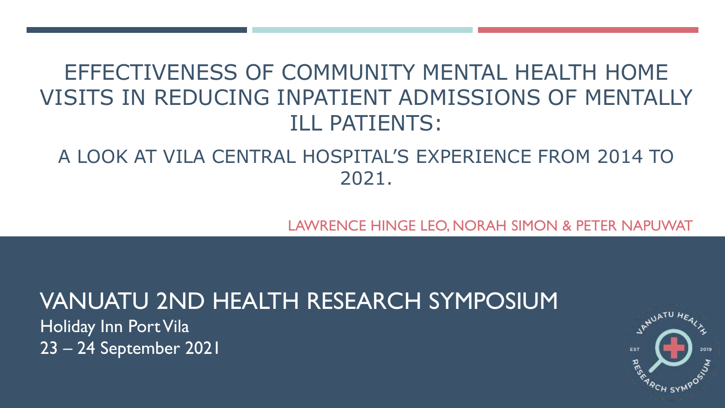# EFFECTIVENESS OF COMMUNITY MENTAL HEALTH HOME VISITS IN REDUCING INPATIENT ADMISSIONS OF MENTALLY ILL PATIENTS:

#### A LOOK AT VILA CENTRAL HOSPITAL'S EXPERIENCE FROM 2014 TO 2021.

LAWRENCE HINGE LEO, NORAH SIMON & PETER NAPUWAT

# VANUATU 2ND HEALTH RESEARCH SYMPOSIUM

Holiday Inn Port Vila 23 – 24 September 2021

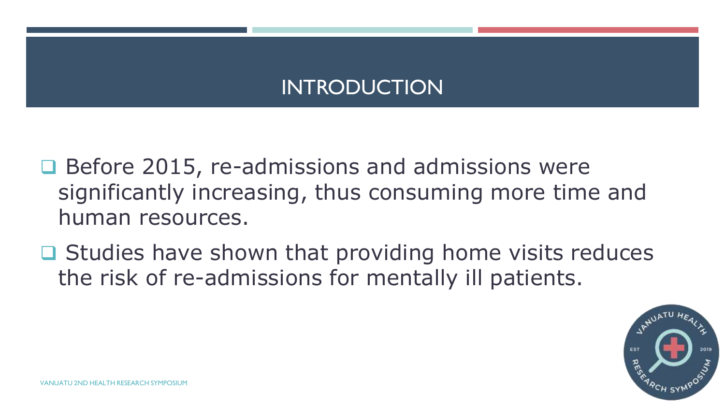# INTRODUCTION

- **□ Before 2015, re-admissions and admissions were** significantly increasing, thus consuming more time and human resources.
- $\Box$  Studies have shown that providing home visits reduces the risk of re-admissions for mentally ill patients.

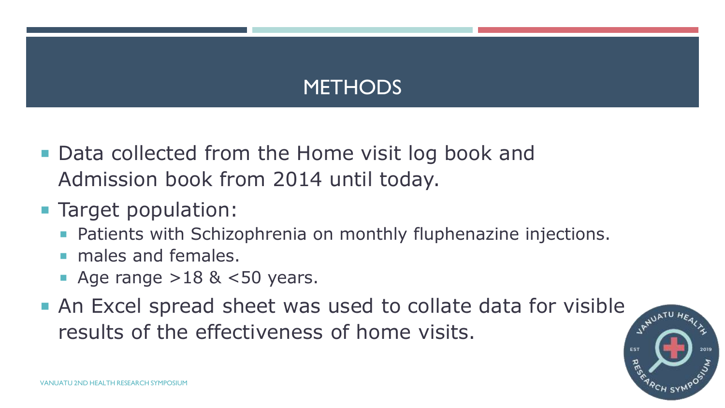# **METHODS**

- Data collected from the Home visit log book and Admission book from 2014 until today.
- **Target population:** 
	- **Patients with Schizophrenia on monthly fluphenazine injections.**
	- males and females.
	- Age range  $>18$  &  $<$ 50 years.
- An Excel spread sheet was used to collate data for visible results of the effectiveness of home visits.

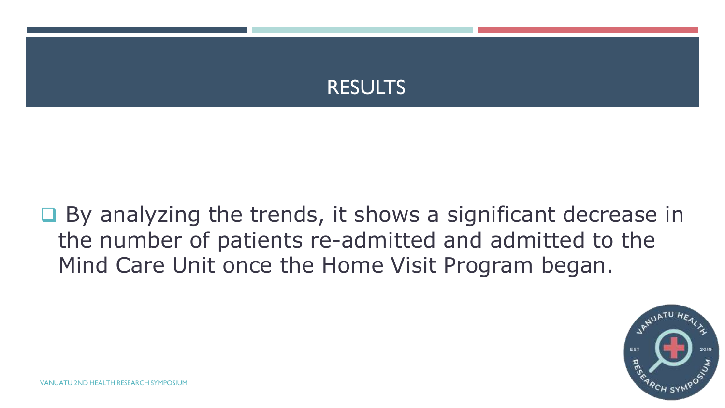

 $\Box$  By analyzing the trends, it shows a significant decrease in the number of patients re-admitted and admitted to the Mind Care Unit once the Home Visit Program began.

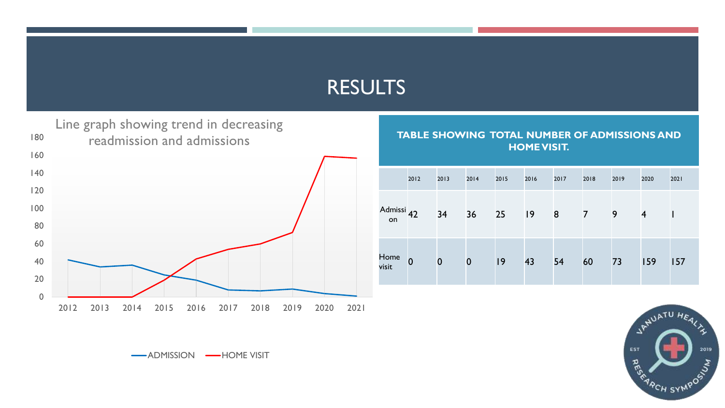#### RESULTS



**TABLE SHOWING TOTAL NUMBER OF ADMISSIONS AND HOME VISIT.**

|                             | 2012           | 2013     | 2014     | 2015 | 2016 | 2017 | 2018           | 2019 | 2020           | 2021 |
|-----------------------------|----------------|----------|----------|------|------|------|----------------|------|----------------|------|
| Admissi <sub>42</sub><br>on |                | 34       | 36       | 25   | 9    | 8    | $\overline{7}$ | 9    | $\overline{4}$ |      |
| Home<br>visit               | $\overline{0}$ | $\bf{0}$ | $\bf{0}$ | 9    | 43   | 54   | 60             | 73   | 159            | 157  |



-ADMISSION - HOME VISIT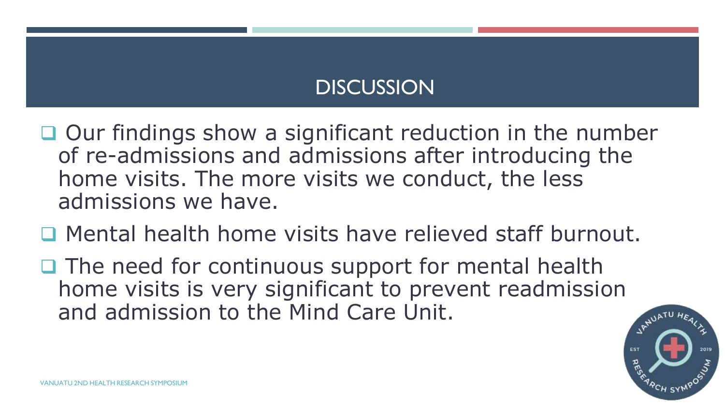# **DISCUSSION**

 $\Box$  Our findings show a significant reduction in the number of re-admissions and admissions after introducing the home visits. The more visits we conduct, the less admissions we have.

- Mental health home visits have relieved staff burnout.
- $\Box$  The need for continuous support for mental health home visits is very significant to prevent readmission and admission to the Mind Care Unit.

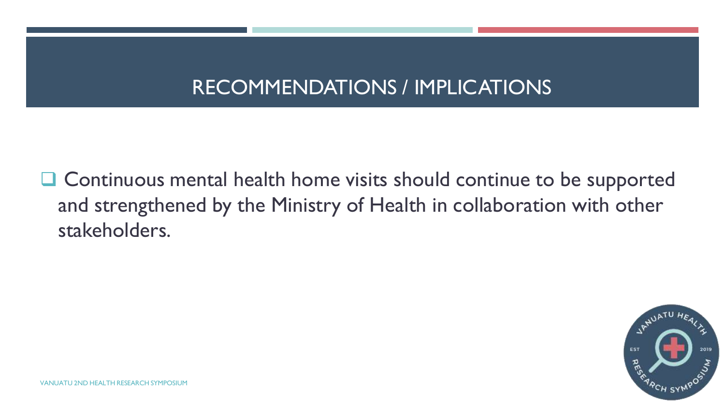## RECOMMENDATIONS / IMPLICATIONS

 $\Box$  Continuous mental health home visits should continue to be supported and strengthened by the Ministry of Health in collaboration with other stakeholders.

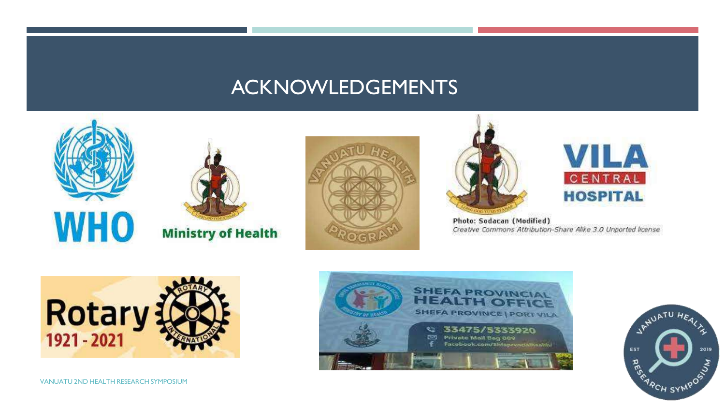#### ACKNOWLEDGEMENTS











Photo: Sodacan (Modified) Creative Commons Attribution-Share Alike 3.0 Unported license





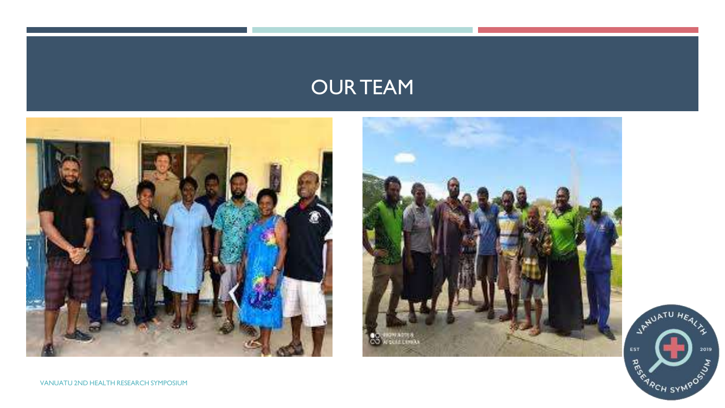### OUR TEAM







VANUATU 2ND HEALTH RESEARCH SYMPOSIUM